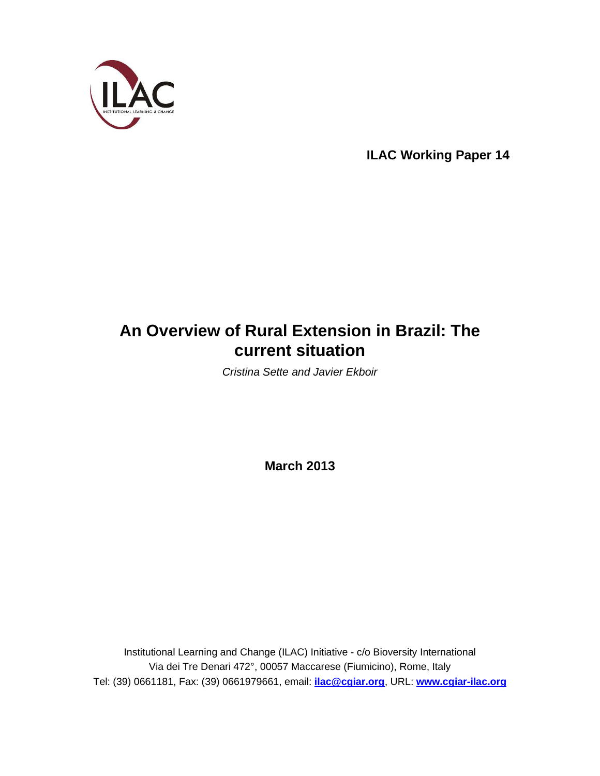

**ILAC Working Paper 14**

# **An Overview of Rural Extension in Brazil: The current situation**

Cristina Sette and Javier Ekboir

**March 2013** 

Institutional Learning and Change (ILAC) Initiative - c/o Bioversity International Via dei Tre Denari 472°, 00057 Maccarese (Fiumicino), Rome, Italy Tel: (39) 0661181, Fax: (39) 0661979661, email: **ilac@cgiar.org**, URL: **www.cgiar-ilac.org**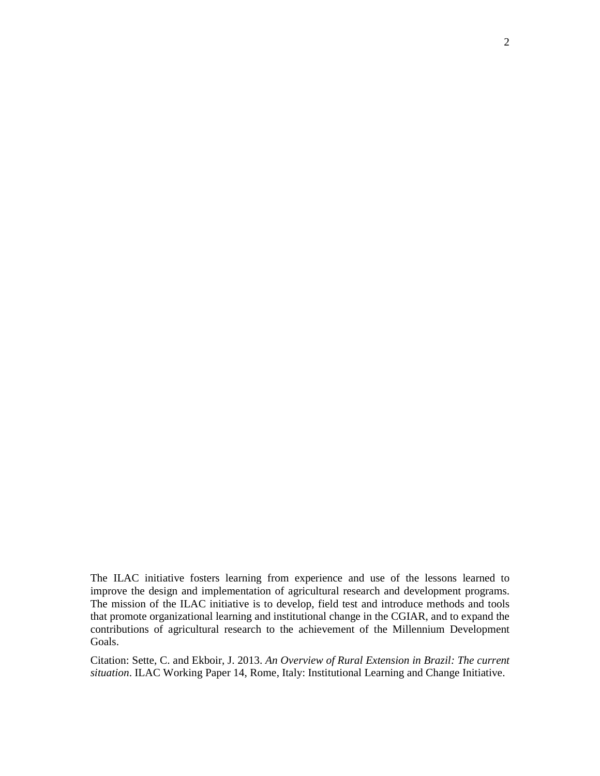The ILAC initiative fosters learning from experience and use of the lessons learned to improve the design and implementation of agricultural research and development programs. The mission of the ILAC initiative is to develop, field test and introduce methods and tools that promote organizational learning and institutional change in the CGIAR, and to expand the contributions of agricultural research to the achievement of the Millennium Development Goals.

Citation: Sette, C. and Ekboir, J. 2013. *An Overview of Rural Extension in Brazil: The current situation*. ILAC Working Paper 14, Rome, Italy: Institutional Learning and Change Initiative.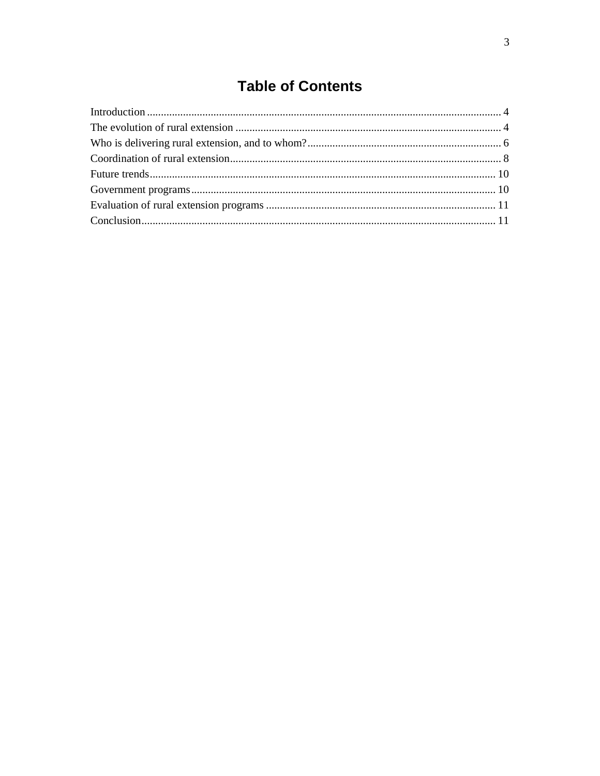# **Table of Contents**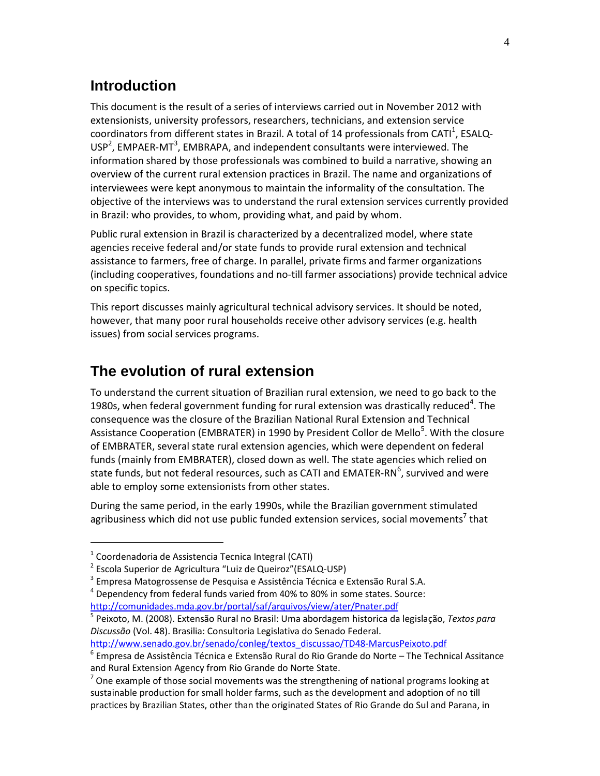#### **Introduction**

This document is the result of a series of interviews carried out in November 2012 with extensionists, university professors, researchers, technicians, and extension service coordinators from different states in Brazil. A total of 14 professionals from CATI<sup>1</sup>, ESALQ-USP<sup>2</sup>, EMPAER-MT<sup>3</sup>, EMBRAPA, and independent consultants were interviewed. The information shared by those professionals was combined to build a narrative, showing an overview of the current rural extension practices in Brazil. The name and organizations of interviewees were kept anonymous to maintain the informality of the consultation. The objective of the interviews was to understand the rural extension services currently provided in Brazil: who provides, to whom, providing what, and paid by whom.

Public rural extension in Brazil is characterized by a decentralized model, where state agencies receive federal and/or state funds to provide rural extension and technical assistance to farmers, free of charge. In parallel, private firms and farmer organizations (including cooperatives, foundations and no-till farmer associations) provide technical advice on specific topics.

This report discusses mainly agricultural technical advisory services. It should be noted, however, that many poor rural households receive other advisory services (e.g. health issues) from social services programs.

#### **The evolution of rural extension**

To understand the current situation of Brazilian rural extension, we need to go back to the 1980s, when federal government funding for rural extension was drastically reduced<sup>4</sup>. The consequence was the closure of the Brazilian National Rural Extension and Technical Assistance Cooperation (EMBRATER) in 1990 by President Collor de Mello<sup>5</sup>. With the closure of EMBRATER, several state rural extension agencies, which were dependent on federal funds (mainly from EMBRATER), closed down as well. The state agencies which relied on state funds, but not federal resources, such as CATI and EMATER-RN $^6$ , survived and were able to employ some extensionists from other states.

During the same period, in the early 1990s, while the Brazilian government stimulated agribusiness which did not use public funded extension services, social movements<sup>7</sup> that

 $\overline{a}$ 

http://www.senado.gov.br/senado/conleg/textos\_discussao/TD48-MarcusPeixoto.pdf

 $1$  Coordenadoria de Assistencia Tecnica Integral (CATI)

<sup>&</sup>lt;sup>2</sup> Escola Superior de Agricultura "Luiz de Queiroz"(ESALQ-USP)

<sup>&</sup>lt;sup>3</sup> Empresa Matogrossense de Pesquisa e Assistência Técnica e Extensão Rural S.A.

 $<sup>4</sup>$  Dependency from federal funds varied from 40% to 80% in some states. Source:</sup> http://comunidades.mda.gov.br/portal/saf/arquivos/view/ater/Pnater.pdf

<sup>5</sup> Peixoto, M. (2008). Extensão Rural no Brasil: Uma abordagem historica da legislação, *Textos para Discussão* (Vol. 48). Brasilia: Consultoria Legislativa do Senado Federal.

 $^6$  Empresa de Assistência Técnica e Extensão Rural do Rio Grande do Norte – The Technical Assitance and Rural Extension Agency from Rio Grande do Norte State.

 $7$  One example of those social movements was the strengthening of national programs looking at sustainable production for small holder farms, such as the development and adoption of no till practices by Brazilian States, other than the originated States of Rio Grande do Sul and Parana, in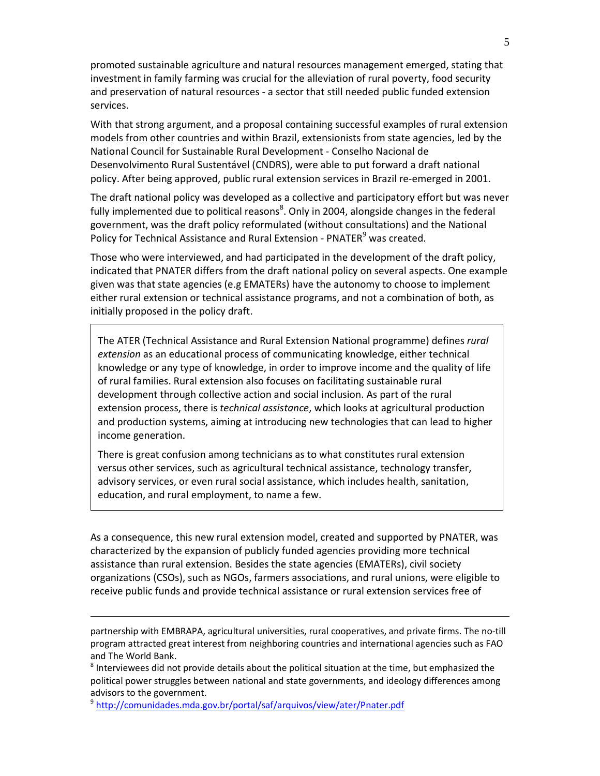promoted sustainable agriculture and natural resources management emerged, stating that investment in family farming was crucial for the alleviation of rural poverty, food security and preservation of natural resources - a sector that still needed public funded extension services.

With that strong argument, and a proposal containing successful examples of rural extension models from other countries and within Brazil, extensionists from state agencies, led by the National Council for Sustainable Rural Development - Conselho Nacional de Desenvolvimento Rural Sustentável (CNDRS), were able to put forward a draft national policy. After being approved, public rural extension services in Brazil re-emerged in 2001.

The draft national policy was developed as a collective and participatory effort but was never fully implemented due to political reasons<sup>8</sup>. Only in 2004, alongside changes in the federal government, was the draft policy reformulated (without consultations) and the National Policy for Technical Assistance and Rural Extension - PNATER<sup>9</sup> was created.

Those who were interviewed, and had participated in the development of the draft policy, indicated that PNATER differs from the draft national policy on several aspects. One example given was that state agencies (e.g EMATERs) have the autonomy to choose to implement either rural extension or technical assistance programs, and not a combination of both, as initially proposed in the policy draft.

The ATER (Technical Assistance and Rural Extension National programme) defines *rural extension* as an educational process of communicating knowledge, either technical knowledge or any type of knowledge, in order to improve income and the quality of life of rural families. Rural extension also focuses on facilitating sustainable rural development through collective action and social inclusion. As part of the rural extension process, there is *technical assistance*, which looks at agricultural production and production systems, aiming at introducing new technologies that can lead to higher income generation.

There is great confusion among technicians as to what constitutes rural extension versus other services, such as agricultural technical assistance, technology transfer, advisory services, or even rural social assistance, which includes health, sanitation, education, and rural employment, to name a few.

As a consequence, this new rural extension model, created and supported by PNATER, was characterized by the expansion of publicly funded agencies providing more technical assistance than rural extension. Besides the state agencies (EMATERs), civil society organizations (CSOs), such as NGOs, farmers associations, and rural unions, were eligible to receive public funds and provide technical assistance or rural extension services free of

partnership with EMBRAPA, agricultural universities, rural cooperatives, and private firms. The no-till program attracted great interest from neighboring countries and international agencies such as FAO and The World Bank.

 $^8$  Interviewees did not provide details about the political situation at the time, but emphasized the political power struggles between national and state governments, and ideology differences among advisors to the government.

<sup>9</sup> http://comunidades.mda.gov.br/portal/saf/arquivos/view/ater/Pnater.pdf

 $\overline{a}$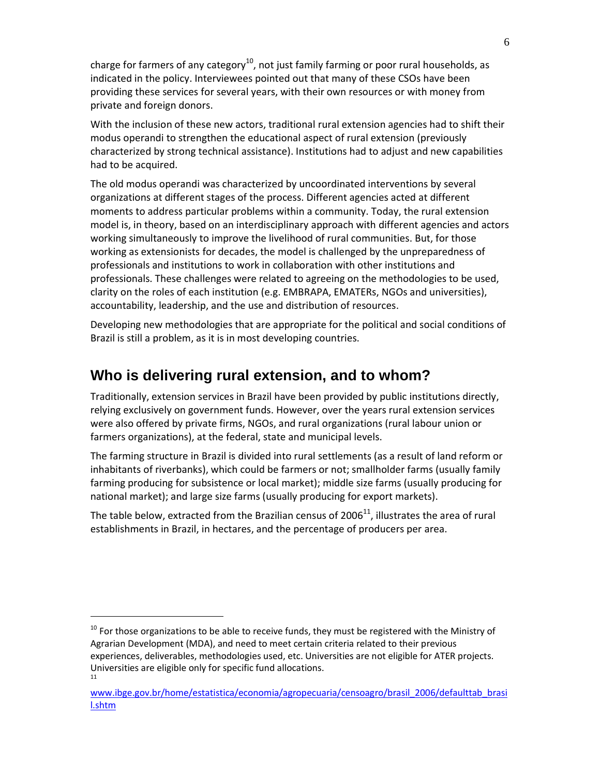charge for farmers of any category<sup>10</sup>, not just family farming or poor rural households, as indicated in the policy. Interviewees pointed out that many of these CSOs have been providing these services for several years, with their own resources or with money from private and foreign donors.

With the inclusion of these new actors, traditional rural extension agencies had to shift their modus operandi to strengthen the educational aspect of rural extension (previously characterized by strong technical assistance). Institutions had to adjust and new capabilities had to be acquired.

The old modus operandi was characterized by uncoordinated interventions by several organizations at different stages of the process. Different agencies acted at different moments to address particular problems within a community. Today, the rural extension model is, in theory, based on an interdisciplinary approach with different agencies and actors working simultaneously to improve the livelihood of rural communities. But, for those working as extensionists for decades, the model is challenged by the unpreparedness of professionals and institutions to work in collaboration with other institutions and professionals. These challenges were related to agreeing on the methodologies to be used, clarity on the roles of each institution (e.g. EMBRAPA, EMATERs, NGOs and universities), accountability, leadership, and the use and distribution of resources.

Developing new methodologies that are appropriate for the political and social conditions of Brazil is still a problem, as it is in most developing countries.

#### **Who is delivering rural extension, and to whom?**

Traditionally, extension services in Brazil have been provided by public institutions directly, relying exclusively on government funds. However, over the years rural extension services were also offered by private firms, NGOs, and rural organizations (rural labour union or farmers organizations), at the federal, state and municipal levels.

The farming structure in Brazil is divided into rural settlements (as a result of land reform or inhabitants of riverbanks), which could be farmers or not; smallholder farms (usually family farming producing for subsistence or local market); middle size farms (usually producing for national market); and large size farms (usually producing for export markets).

The table below, extracted from the Brazilian census of  $2006<sup>11</sup>$ , illustrates the area of rural establishments in Brazil, in hectares, and the percentage of producers per area.

 $\overline{a}$ 

 $10$  For those organizations to be able to receive funds, they must be registered with the Ministry of Agrarian Development (MDA), and need to meet certain criteria related to their previous experiences, deliverables, methodologies used, etc. Universities are not eligible for ATER projects. Universities are eligible only for specific fund allocations. 11

www.ibge.gov.br/home/estatistica/economia/agropecuaria/censoagro/brasil\_2006/defaulttab\_brasi l.shtm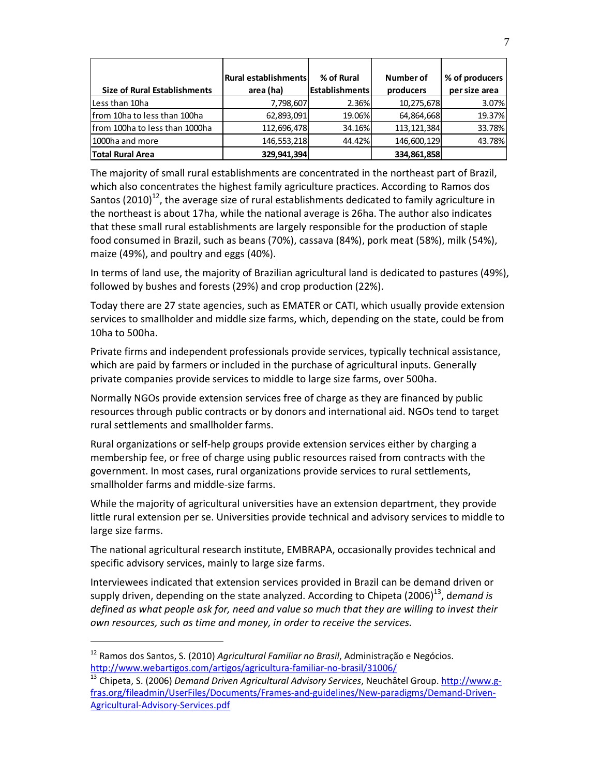|                                     | Rural establishments | % of Rural             | Number of     | % of producers |
|-------------------------------------|----------------------|------------------------|---------------|----------------|
| <b>Size of Rural Establishments</b> | area (ha)            | <b>IEstablishments</b> | producers     | per size area  |
| Less than 10ha                      | 7,798,607            | 2.36%                  | 10,275,678    | 3.07%          |
| from 10ha to less than 100ha        | 62,893,091           | 19.06%                 | 64,864,668    | 19.37%         |
| Ifrom 100ha to less than 1000ha     | 112,696,478          | 34.16%                 | 113, 121, 384 | 33.78%         |
| 1000ha and more                     | 146,553,218          | 44.42%                 | 146,600,129   | 43.78%         |
| <b>Total Rural Area</b>             | 329,941,394          |                        | 334,861,858   |                |

The majority of small rural establishments are concentrated in the northeast part of Brazil, which also concentrates the highest family agriculture practices. According to Ramos dos Santos (2010)<sup>12</sup>, the average size of rural establishments dedicated to family agriculture in the northeast is about 17ha, while the national average is 26ha. The author also indicates that these small rural establishments are largely responsible for the production of staple food consumed in Brazil, such as beans (70%), cassava (84%), pork meat (58%), milk (54%), maize (49%), and poultry and eggs (40%).

In terms of land use, the majority of Brazilian agricultural land is dedicated to pastures (49%), followed by bushes and forests (29%) and crop production (22%).

Today there are 27 state agencies, such as EMATER or CATI, which usually provide extension services to smallholder and middle size farms, which, depending on the state, could be from 10ha to 500ha.

Private firms and independent professionals provide services, typically technical assistance, which are paid by farmers or included in the purchase of agricultural inputs. Generally private companies provide services to middle to large size farms, over 500ha.

Normally NGOs provide extension services free of charge as they are financed by public resources through public contracts or by donors and international aid. NGOs tend to target rural settlements and smallholder farms.

Rural organizations or self-help groups provide extension services either by charging a membership fee, or free of charge using public resources raised from contracts with the government. In most cases, rural organizations provide services to rural settlements, smallholder farms and middle-size farms.

While the majority of agricultural universities have an extension department, they provide little rural extension per se. Universities provide technical and advisory services to middle to large size farms.

The national agricultural research institute, EMBRAPA, occasionally provides technical and specific advisory services, mainly to large size farms.

Interviewees indicated that extension services provided in Brazil can be demand driven or supply driven, depending on the state analyzed. According to Chipeta (2006)<sup>13</sup>, demand is *defined as what people ask for, need and value so much that they are willing to invest their own resources, such as time and money, in order to receive the services.*

 $\ddot{\phantom{a}}$ 

<sup>12</sup> Ramos dos Santos, S. (2010) *Agricultural Familiar no Brasil*, Administração e Negócios. http://www.webartigos.com/artigos/agricultura-familiar-no-brasil/31006/

<sup>&</sup>lt;sup>13</sup> Chipeta, S. (2006) *Demand Driven Agricultural Advisory Services*, Neuchâtel Group. http://www.gfras.org/fileadmin/UserFiles/Documents/Frames-and-guidelines/New-paradigms/Demand-Driven-Agricultural-Advisory-Services.pdf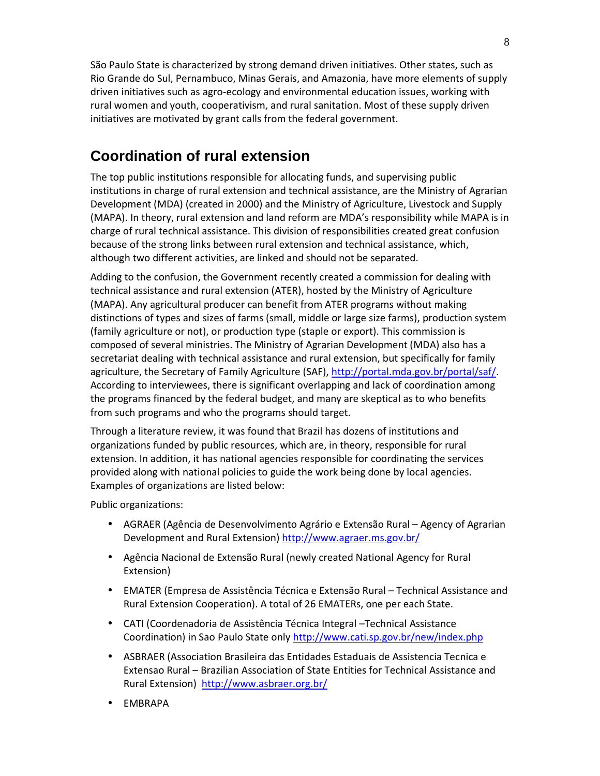São Paulo State is characterized by strong demand driven initiatives. Other states, such as Rio Grande do Sul, Pernambuco, Minas Gerais, and Amazonia, have more elements of supply driven initiatives such as agro-ecology and environmental education issues, working with rural women and youth, cooperativism, and rural sanitation. Most of these supply driven initiatives are motivated by grant calls from the federal government.

#### **Coordination of rural extension**

The top public institutions responsible for allocating funds, and supervising public institutions in charge of rural extension and technical assistance, are the Ministry of Agrarian Development (MDA) (created in 2000) and the Ministry of Agriculture, Livestock and Supply (MAPA). In theory, rural extension and land reform are MDA's responsibility while MAPA is in charge of rural technical assistance. This division of responsibilities created great confusion because of the strong links between rural extension and technical assistance, which, although two different activities, are linked and should not be separated.

Adding to the confusion, the Government recently created a commission for dealing with technical assistance and rural extension (ATER), hosted by the Ministry of Agriculture (MAPA). Any agricultural producer can benefit from ATER programs without making distinctions of types and sizes of farms (small, middle or large size farms), production system (family agriculture or not), or production type (staple or export). This commission is composed of several ministries. The Ministry of Agrarian Development (MDA) also has a secretariat dealing with technical assistance and rural extension, but specifically for family agriculture, the Secretary of Family Agriculture (SAF), http://portal.mda.gov.br/portal/saf/. According to interviewees, there is significant overlapping and lack of coordination among the programs financed by the federal budget, and many are skeptical as to who benefits from such programs and who the programs should target.

Through a literature review, it was found that Brazil has dozens of institutions and organizations funded by public resources, which are, in theory, responsible for rural extension. In addition, it has national agencies responsible for coordinating the services provided along with national policies to guide the work being done by local agencies. Examples of organizations are listed below:

Public organizations:

- AGRAER (Agência de Desenvolvimento Agrário e Extensão Rural Agency of Agrarian Development and Rural Extension) http://www.agraer.ms.gov.br/
- Agência Nacional de Extensão Rural (newly created National Agency for Rural Extension)
- EMATER (Empresa de Assistência Técnica e Extensão Rural Technical Assistance and Rural Extension Cooperation). A total of 26 EMATERs, one per each State.
- CATI (Coordenadoria de Assistência Técnica Integral –Technical Assistance Coordination) in Sao Paulo State only http://www.cati.sp.gov.br/new/index.php
- ASBRAER (Association Brasileira das Entidades Estaduais de Assistencia Tecnica e Extensao Rural – Brazilian Association of State Entities for Technical Assistance and Rural Extension) http://www.asbraer.org.br/
- EMBRAPA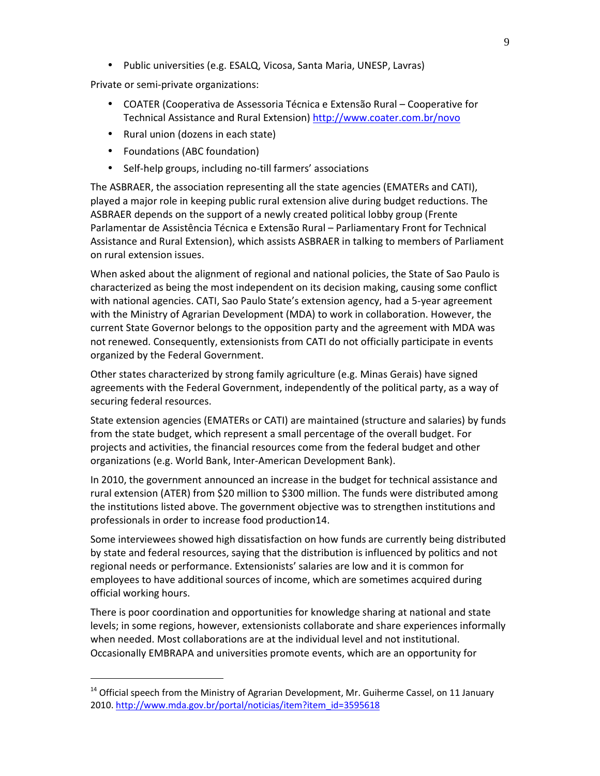• Public universities (e.g. ESALQ, Vicosa, Santa Maria, UNESP, Lavras)

Private or semi-private organizations:

- COATER (Cooperativa de Assessoria Técnica e Extensão Rural Cooperative for Technical Assistance and Rural Extension) http://www.coater.com.br/novo
- Rural union (dozens in each state)
- Foundations (ABC foundation)

 $\ddot{\phantom{a}}$ 

• Self-help groups, including no-till farmers' associations

The ASBRAER, the association representing all the state agencies (EMATERs and CATI), played a major role in keeping public rural extension alive during budget reductions. The ASBRAER depends on the support of a newly created political lobby group (Frente Parlamentar de Assistência Técnica e Extensão Rural – Parliamentary Front for Technical Assistance and Rural Extension), which assists ASBRAER in talking to members of Parliament on rural extension issues.

When asked about the alignment of regional and national policies, the State of Sao Paulo is characterized as being the most independent on its decision making, causing some conflict with national agencies. CATI, Sao Paulo State's extension agency, had a 5-year agreement with the Ministry of Agrarian Development (MDA) to work in collaboration. However, the current State Governor belongs to the opposition party and the agreement with MDA was not renewed. Consequently, extensionists from CATI do not officially participate in events organized by the Federal Government.

Other states characterized by strong family agriculture (e.g. Minas Gerais) have signed agreements with the Federal Government, independently of the political party, as a way of securing federal resources.

State extension agencies (EMATERs or CATI) are maintained (structure and salaries) by funds from the state budget, which represent a small percentage of the overall budget. For projects and activities, the financial resources come from the federal budget and other organizations (e.g. World Bank, Inter-American Development Bank).

In 2010, the government announced an increase in the budget for technical assistance and rural extension (ATER) from \$20 million to \$300 million. The funds were distributed among the institutions listed above. The government objective was to strengthen institutions and professionals in order to increase food production14.

Some interviewees showed high dissatisfaction on how funds are currently being distributed by state and federal resources, saying that the distribution is influenced by politics and not regional needs or performance. Extensionists' salaries are low and it is common for employees to have additional sources of income, which are sometimes acquired during official working hours.

There is poor coordination and opportunities for knowledge sharing at national and state levels; in some regions, however, extensionists collaborate and share experiences informally when needed. Most collaborations are at the individual level and not institutional. Occasionally EMBRAPA and universities promote events, which are an opportunity for

 $14$  Official speech from the Ministry of Agrarian Development, Mr. Guiherme Cassel, on 11 January 2010. http://www.mda.gov.br/portal/noticias/item?item\_id=3595618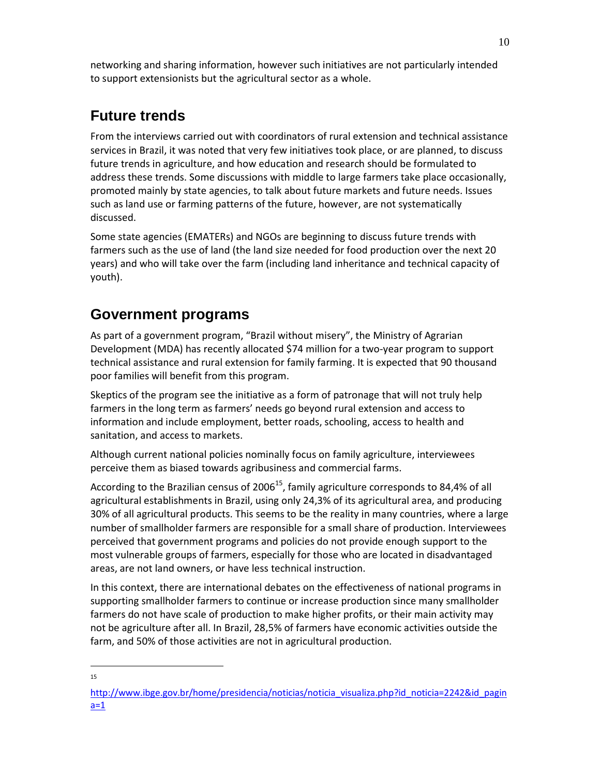networking and sharing information, however such initiatives are not particularly intended to support extensionists but the agricultural sector as a whole.

# **Future trends**

From the interviews carried out with coordinators of rural extension and technical assistance services in Brazil, it was noted that very few initiatives took place, or are planned, to discuss future trends in agriculture, and how education and research should be formulated to address these trends. Some discussions with middle to large farmers take place occasionally, promoted mainly by state agencies, to talk about future markets and future needs. Issues such as land use or farming patterns of the future, however, are not systematically discussed.

Some state agencies (EMATERs) and NGOs are beginning to discuss future trends with farmers such as the use of land (the land size needed for food production over the next 20 years) and who will take over the farm (including land inheritance and technical capacity of youth).

### **Government programs**

As part of a government program, "Brazil without misery", the Ministry of Agrarian Development (MDA) has recently allocated \$74 million for a two-year program to support technical assistance and rural extension for family farming. It is expected that 90 thousand poor families will benefit from this program.

Skeptics of the program see the initiative as a form of patronage that will not truly help farmers in the long term as farmers' needs go beyond rural extension and access to information and include employment, better roads, schooling, access to health and sanitation, and access to markets.

Although current national policies nominally focus on family agriculture, interviewees perceive them as biased towards agribusiness and commercial farms.

According to the Brazilian census of 2006<sup>15</sup>, family agriculture corresponds to 84,4% of all agricultural establishments in Brazil, using only 24,3% of its agricultural area, and producing 30% of all agricultural products. This seems to be the reality in many countries, where a large number of smallholder farmers are responsible for a small share of production. Interviewees perceived that government programs and policies do not provide enough support to the most vulnerable groups of farmers, especially for those who are located in disadvantaged areas, are not land owners, or have less technical instruction.

In this context, there are international debates on the effectiveness of national programs in supporting smallholder farmers to continue or increase production since many smallholder farmers do not have scale of production to make higher profits, or their main activity may not be agriculture after all. In Brazil, 28,5% of farmers have economic activities outside the farm, and 50% of those activities are not in agricultural production.

 $\overline{a}$ 15

http://www.ibge.gov.br/home/presidencia/noticias/noticia\_visualiza.php?id\_noticia=2242&id\_pagin  $a=1$